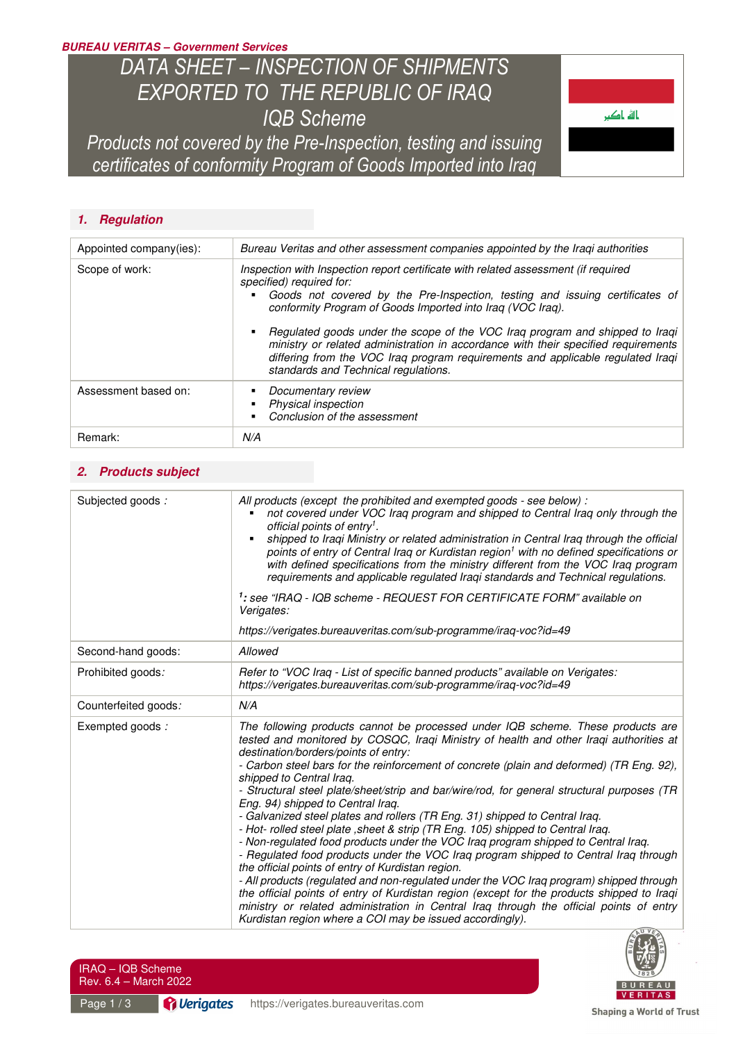## *BUREAU VERITAS – Government Services*

# *DATA SHEET – INSPECTION OF SHIPMENTS EXPORTED TO THE REPUBLIC OF IRAQ IQB Scheme*

*Products not covered by the Pre-Inspection, testing and issuing certificates of conformity Program of Goods Imported into Iraq* 

## *1. Regulation*

| Appointed company(ies): | Bureau Veritas and other assessment companies appointed by the Iragi authorities                                                                                                                                                                                                                                                                                                                                                                                                                                                                              |
|-------------------------|---------------------------------------------------------------------------------------------------------------------------------------------------------------------------------------------------------------------------------------------------------------------------------------------------------------------------------------------------------------------------------------------------------------------------------------------------------------------------------------------------------------------------------------------------------------|
| Scope of work:          | Inspection with Inspection report certificate with related assessment (if required<br>specified) required for:<br>Goods not covered by the Pre-Inspection, testing and issuing certificates of<br>conformity Program of Goods Imported into Iraq (VOC Iraq).<br>Regulated goods under the scope of the VOC Iraq program and shipped to Iraqi<br>ministry or related administration in accordance with their specified requirements<br>differing from the VOC Iraq program requirements and applicable regulated Iraqi<br>standards and Technical regulations. |
| Assessment based on:    | Documentary review<br>Physical inspection<br>Conclusion of the assessment                                                                                                                                                                                                                                                                                                                                                                                                                                                                                     |
| Remark:                 | N/A                                                                                                                                                                                                                                                                                                                                                                                                                                                                                                                                                           |

## *2. Products subject*

| Subjected goods:     | All products (except the prohibited and exempted goods - see below) :<br>not covered under VOC Iraq program and shipped to Central Iraq only through the<br>official points of entry <sup>1</sup> .<br>shipped to Iraqi Ministry or related administration in Central Iraq through the official<br>points of entry of Central Iraq or Kurdistan region <sup>1</sup> with no defined specifications or<br>with defined specifications from the ministry different from the VOC Iraq program<br>requirements and applicable regulated Iraqi standards and Technical regulations.<br>1: see "IRAQ - IQB scheme - REQUEST FOR CERTIFICATE FORM" available on<br>Verigates:                                                                                                                                                                                                                                                                                                                                                                                                                                                                                                                                                           |
|----------------------|----------------------------------------------------------------------------------------------------------------------------------------------------------------------------------------------------------------------------------------------------------------------------------------------------------------------------------------------------------------------------------------------------------------------------------------------------------------------------------------------------------------------------------------------------------------------------------------------------------------------------------------------------------------------------------------------------------------------------------------------------------------------------------------------------------------------------------------------------------------------------------------------------------------------------------------------------------------------------------------------------------------------------------------------------------------------------------------------------------------------------------------------------------------------------------------------------------------------------------|
|                      | https://verigates.bureauveritas.com/sub-programme/iraq-voc?id=49                                                                                                                                                                                                                                                                                                                                                                                                                                                                                                                                                                                                                                                                                                                                                                                                                                                                                                                                                                                                                                                                                                                                                                 |
| Second-hand goods:   | Allowed                                                                                                                                                                                                                                                                                                                                                                                                                                                                                                                                                                                                                                                                                                                                                                                                                                                                                                                                                                                                                                                                                                                                                                                                                          |
| Prohibited goods:    | Refer to "VOC Iraq - List of specific banned products" available on Verigates:<br>https://verigates.bureauveritas.com/sub-programme/iraq-voc?id=49                                                                                                                                                                                                                                                                                                                                                                                                                                                                                                                                                                                                                                                                                                                                                                                                                                                                                                                                                                                                                                                                               |
| Counterfeited goods: | N/A                                                                                                                                                                                                                                                                                                                                                                                                                                                                                                                                                                                                                                                                                                                                                                                                                                                                                                                                                                                                                                                                                                                                                                                                                              |
| Exempted goods:      | The following products cannot be processed under IQB scheme. These products are<br>tested and monitored by COSQC, Iraqi Ministry of health and other Iraqi authorities at<br>destination/borders/points of entry:<br>- Carbon steel bars for the reinforcement of concrete (plain and deformed) (TR Eng. 92),<br>shipped to Central Iraq.<br>- Structural steel plate/sheet/strip and bar/wire/rod, for general structural purposes (TR<br>Eng. 94) shipped to Central Irag.<br>- Galvanized steel plates and rollers (TR Eng. 31) shipped to Central Iraq.<br>- Hot- rolled steel plate, sheet & strip (TR Eng. 105) shipped to Central Iraq.<br>- Non-regulated food products under the VOC Iraq program shipped to Central Iraq.<br>- Regulated food products under the VOC Iraq program shipped to Central Iraq through<br>the official points of entry of Kurdistan region.<br>- All products (regulated and non-regulated under the VOC Iraq program) shipped through<br>the official points of entry of Kurdistan region (except for the products shipped to Iraqi<br>ministry or related administration in Central Iraq through the official points of entry<br>Kurdistan region where a COI may be issued accordingly). |



باله باکپ

| IRAQ – IQB Scheme     |  |
|-----------------------|--|
| Rev. 6.4 – March 2022 |  |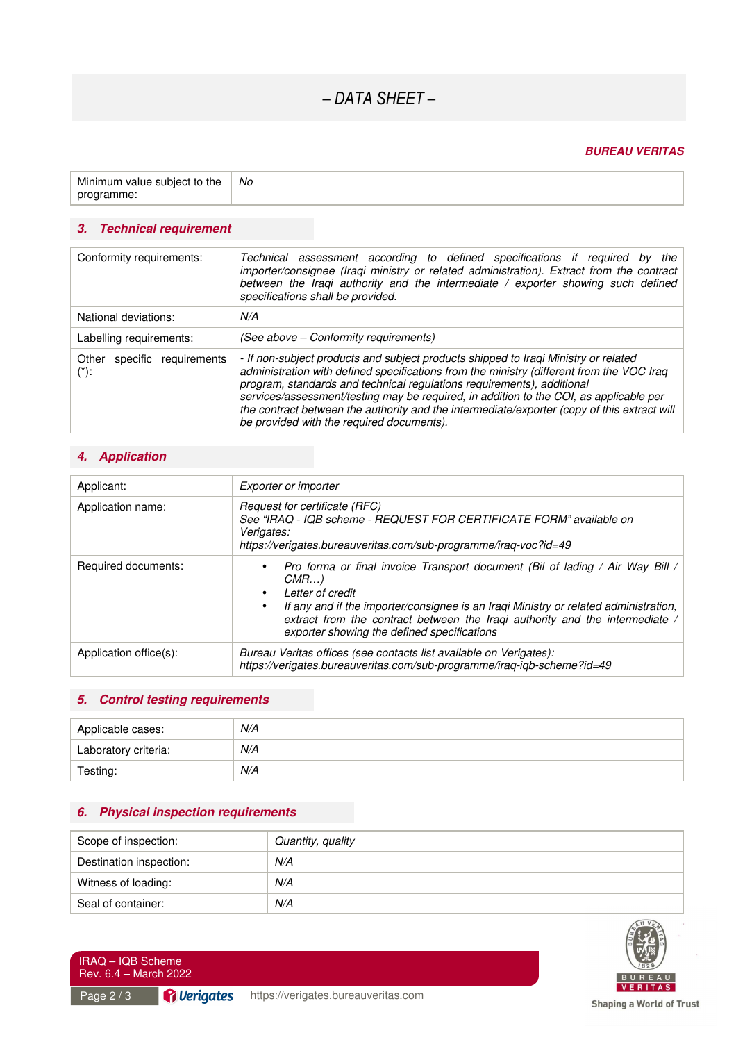## *– DATA SHEET –*

#### *BUREAU VERITAS*

| Minimum value subject to the | No |
|------------------------------|----|
| programme:                   |    |

## *3. Technical requirement*

| Conformity requirements:                  | Technical assessment according to defined specifications if required by the<br>importer/consignee (Iraqi ministry or related administration). Extract from the contract<br>between the Iraqi authority and the intermediate $/$ exporter showing such defined<br>specifications shall be provided.                                                                                                                                                                                               |
|-------------------------------------------|--------------------------------------------------------------------------------------------------------------------------------------------------------------------------------------------------------------------------------------------------------------------------------------------------------------------------------------------------------------------------------------------------------------------------------------------------------------------------------------------------|
| National deviations:                      | N/A                                                                                                                                                                                                                                                                                                                                                                                                                                                                                              |
| Labelling requirements:                   | (See above – Conformity requirements)                                                                                                                                                                                                                                                                                                                                                                                                                                                            |
| specific requirements<br>Other<br>$(*)$ : | - If non-subject products and subject products shipped to Iraqi Ministry or related<br>administration with defined specifications from the ministry (different from the VOC Iraq<br>program, standards and technical regulations requirements), additional<br>services/assessment/testing may be required, in addition to the COI, as applicable per<br>the contract between the authority and the intermediate/exporter (copy of this extract will<br>be provided with the required documents). |

## *4. Application*

| Applicant:             | Exporter or importer                                                                                                                                                                                                                                                                                                                                                   |
|------------------------|------------------------------------------------------------------------------------------------------------------------------------------------------------------------------------------------------------------------------------------------------------------------------------------------------------------------------------------------------------------------|
| Application name:      | Request for certificate (RFC)<br>See "IRAQ - IQB scheme - REQUEST FOR CERTIFICATE FORM" available on<br>Verigates:<br>https://verigates.bureauveritas.com/sub-programme/irag-voc?id=49                                                                                                                                                                                 |
| Required documents:    | Pro forma or final invoice Transport document (Bil of lading / Air Way Bill /<br>$\bullet$<br>CMR<br>Letter of credit<br>$\bullet$<br>If any and if the importer/consignee is an Iraqi Ministry or related administration,<br>$\bullet$<br>extract from the contract between the Iraqi authority and the intermediate /<br>exporter showing the defined specifications |
| Application office(s): | Bureau Veritas offices (see contacts list available on Verigates):<br>https://verigates.bureauveritas.com/sub-programme/iraq-iqb-scheme?id=49                                                                                                                                                                                                                          |

## *5. Control testing requirements*

| Applicable cases:    | N/A |
|----------------------|-----|
| Laboratory criteria: | N/A |
| Testing:             | N/A |

## *6. Physical inspection requirements*

| Scope of inspection:    | Quantity, quality |
|-------------------------|-------------------|
| Destination inspection: | N/A               |
| Witness of loading:     | N/A               |
| Seal of container:      | N/A               |



IRAQ – IQB Scheme Rev. 6.4 – March 2022

Shaping a World of Trust